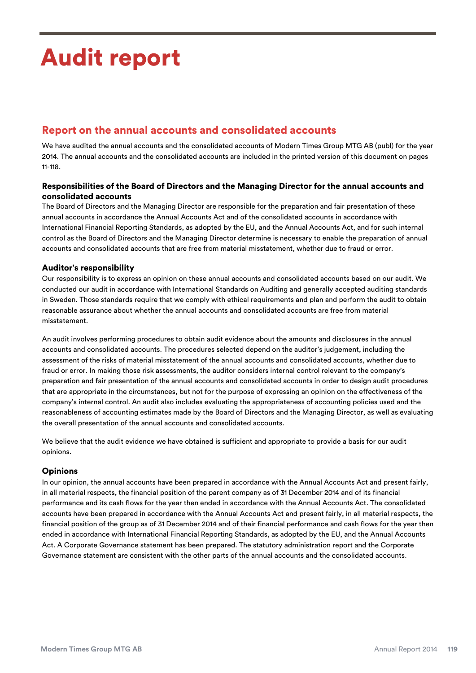# Audit report

Audit report

# Report on the annual accounts and consolidated accounts

We have audited the annual accounts and the consolidated accounts of Modern Times Group MTG AB (publ) for the year 2014. The annual accounts and the consolidated accounts are included in the printed version of this document on pages 11-118.

## Responsibilities of the Board of Directors and the Managing Director for the annual accounts and consolidated accounts

The Board of Directors and the Managing Director are responsible for the preparation and fair presentation of these annual accounts in accordance the Annual Accounts Act and of the consolidated accounts in accordance with International Financial Reporting Standards, as adopted by the EU, and the Annual Accounts Act, and for such internal control as the Board of Directors and the Managing Director determine is necessary to enable the preparation of annual accounts and consolidated accounts that are free from material misstatement, whether due to fraud or error.

## Auditor's responsibility

Our responsibility is to express an opinion on these annual accounts and consolidated accounts based on our audit. We conducted our audit in accordance with International Standards on Auditing and generally accepted auditing standards in Sweden. Those standards require that we comply with ethical requirements and plan and perform the audit to obtain reasonable assurance about whether the annual accounts and consolidated accounts are free from material misstatement.

An audit involves performing procedures to obtain audit evidence about the amounts and disclosures in the annual accounts and consolidated accounts. The procedures selected depend on the auditor's judgement, including the assessment of the risks of material misstatement of the annual accounts and consolidated accounts, whether due to fraud or error. In making those risk assessments, the auditor considers internal control relevant to the company's preparation and fair presentation of the annual accounts and consolidated accounts in order to design audit procedures that are appropriate in the circumstances, but not for the purpose of expressing an opinion on the effectiveness of the company's internal control. An audit also includes evaluating the appropriateness of accounting policies used and the reasonableness of accounting estimates made by the Board of Directors and the Managing Director, as well as evaluating the overall presentation of the annual accounts and consolidated accounts.

We believe that the audit evidence we have obtained is sufficient and appropriate to provide a basis for our audit opinions.

### Opinions

In our opinion, the annual accounts have been prepared in accordance with the Annual Accounts Act and present fairly, in all material respects, the financial position of the parent company as of 31 December 2014 and of its financial performance and its cash flows for the year then ended in accordance with the Annual Accounts Act. The consolidated accounts have been prepared in accordance with the Annual Accounts Act and present fairly, in all material respects, the financial position of the group as of 31 December 2014 and of their financial performance and cash flows for the year then ended in accordance with International Financial Reporting Standards, as adopted by the EU, and the Annual Accounts Act. A Corporate Governance statement has been prepared. The statutory administration report and the Corporate Governance statement are consistent with the other parts of the annual accounts and the consolidated accounts.